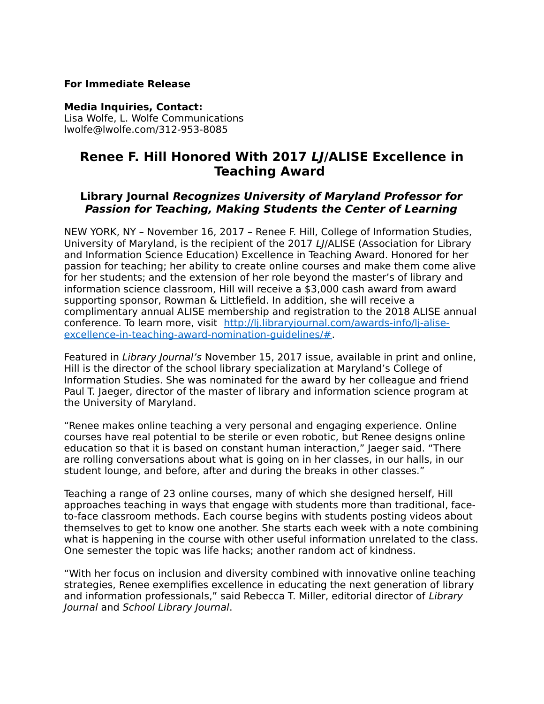#### **For Immediate Release**

#### **Media Inquiries, Contact:**

Lisa Wolfe, L. Wolfe Communications lwolfe@lwolfe.com/312-953-8085

# **Renee F. Hill Honored With 2017 LJ/ALISE Excellence in Teaching Award**

## **Library Journal Recognizes University of Maryland Professor for Passion for Teaching, Making Students the Center of Learning**

NEW YORK, NY – November 16, 2017 – Renee F. Hill, College of Information Studies, University of Maryland, is the recipient of the 2017 LJ/ALISE (Association for Library and Information Science Education) Excellence in Teaching Award. Honored for her passion for teaching; her ability to create online courses and make them come alive for her students; and the extension of her role beyond the master's of library and information science classroom, Hill will receive a \$3,000 cash award from award supporting sponsor, Rowman & Littlefield. In addition, she will receive a complimentary annual ALISE membership and registration to the 2018 ALISE annual conference. To learn more, visit [http://lj.libraryjournal.com/awards-info/lj-alise](http://lj.libraryjournal.com/awards-info/lj-alise-excellence-in-teaching-award-nomination-guidelines/)[excellence-in-teaching-award-nomination-guidelines/#.](http://lj.libraryjournal.com/awards-info/lj-alise-excellence-in-teaching-award-nomination-guidelines/)

Featured in Library Journal's November 15, 2017 issue, available in print and online, Hill is the director of the school library specialization at Maryland's College of Information Studies. She was nominated for the award by her colleague and friend Paul T. Jaeger, director of the master of library and information science program at the University of Maryland.

"Renee makes online teaching a very personal and engaging experience. Online courses have real potential to be sterile or even robotic, but Renee designs online education so that it is based on constant human interaction," Jaeger said. "There are rolling conversations about what is going on in her classes, in our halls, in our student lounge, and before, after and during the breaks in other classes."

Teaching a range of 23 online courses, many of which she designed herself, Hill approaches teaching in ways that engage with students more than traditional, faceto-face classroom methods. Each course begins with students posting videos about themselves to get to know one another. She starts each week with a note combining what is happening in the course with other useful information unrelated to the class. One semester the topic was life hacks; another random act of kindness.

"With her focus on inclusion and diversity combined with innovative online teaching strategies, Renee exemplifies excellence in educating the next generation of library and information professionals," said Rebecca T. Miller, editorial director of Library Journal and School Library Journal.